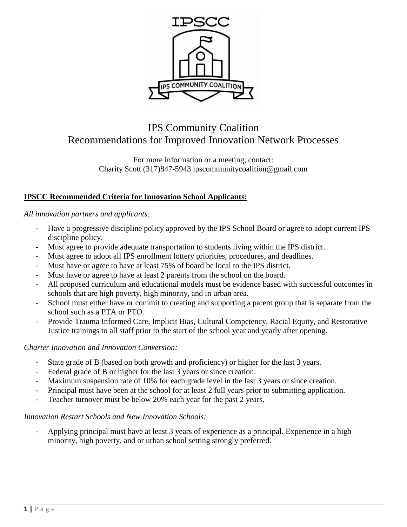

# IPS Community Coalition Recommendations for Improved Innovation Network Processes

For more information or a meeting, contact: Charity Scott (317)847-5943 ipscommunitycoalition@gmail.com

## **IPSCC Recommended Criteria for Innovation School Applicants:**

*All innovation partners and applicants:*

- Have a progressive discipline policy approved by the IPS School Board or agree to adopt current IPS discipline policy.
- Must agree to provide adequate transportation to students living within the IPS district.
- Must agree to adopt all IPS enrollment lottery priorities, procedures, and deadlines.
- Must have or agree to have at least 75% of board be local to the IPS district.
- Must have or agree to have at least 2 parents from the school on the board.
- All proposed curriculum and educational models must be evidence based with successful outcomes in schools that are high poverty, high minority, and in urban area.
- School must either have or commit to creating and supporting a parent group that is separate from the school such as a PTA or PTO.
- Provide Trauma Informed Care, Implicit Bias, Cultural Competency, Racial Equity, and Restorative Justice trainings to all staff prior to the start of the school year and yearly after opening.

#### *Charter Innovation and Innovation Conversion:*

- State grade of B (based on both growth and proficiency) or higher for the last 3 years.
- Federal grade of B or higher for the last 3 years or since creation.
- Maximum suspension rate of 10% for each grade level in the last 3 years or since creation.
- Principal must have been at the school for at least 2 full years prior to submitting application.
- Teacher turnover must be below 20% each year for the past 2 years.

#### *Innovation Restart Schools and New Innovation Schools:*

Applying principal must have at least 3 years of experience as a principal. Experience in a high minority, high poverty, and or urban school setting strongly preferred.